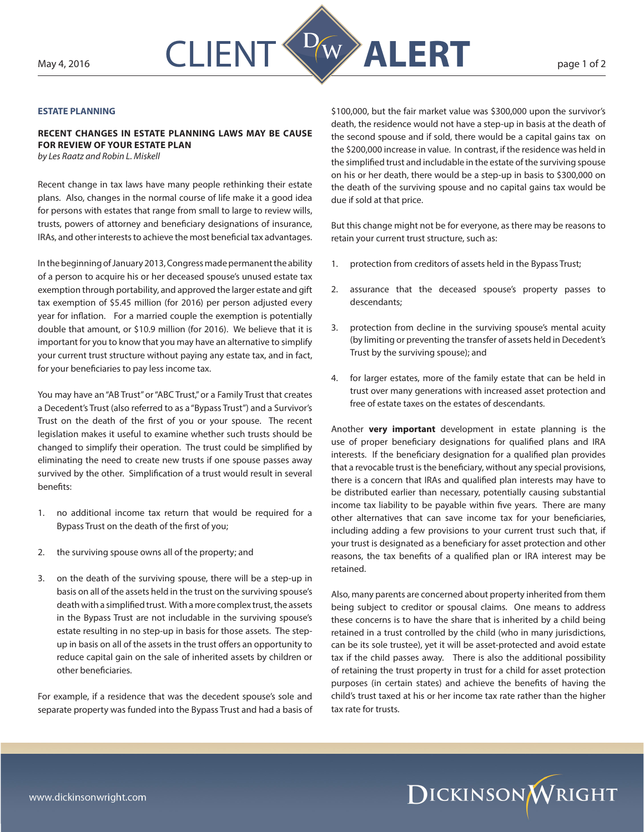

## **ESTATE PLANNING**

**RECENT CHANGES IN ESTATE PLANNING LAWS MAY BE CAUSE FOR REVIEW OF YOUR ESTATE PLAN**

*by Les Raatz and Robin L. Miskell*

Recent change in tax laws have many people rethinking their estate plans. Also, changes in the normal course of life make it a good idea for persons with estates that range from small to large to review wills, trusts, powers of attorney and beneficiary designations of insurance, IRAs, and other interests to achieve the most beneficial tax advantages.

In the beginning of January 2013, Congress made permanent the ability of a person to acquire his or her deceased spouse's unused estate tax exemption through portability, and approved the larger estate and gift tax exemption of \$5.45 million (for 2016) per person adjusted every year for inflation. For a married couple the exemption is potentially double that amount, or \$10.9 million (for 2016). We believe that it is important for you to know that you may have an alternative to simplify your current trust structure without paying any estate tax, and in fact, for your beneficiaries to pay less income tax.

You may have an "AB Trust" or "ABC Trust," or a Family Trust that creates a Decedent's Trust (also referred to as a "Bypass Trust") and a Survivor's Trust on the death of the first of you or your spouse. The recent legislation makes it useful to examine whether such trusts should be changed to simplify their operation. The trust could be simplified by eliminating the need to create new trusts if one spouse passes away survived by the other. Simplification of a trust would result in several benefits:

- 1. no additional income tax return that would be required for a Bypass Trust on the death of the first of you;
- 2. the surviving spouse owns all of the property; and
- 3. on the death of the surviving spouse, there will be a step-up in basis on all of the assets held in the trust on the surviving spouse's death with a simplified trust. With a more complex trust, the assets in the Bypass Trust are not includable in the surviving spouse's estate resulting in no step-up in basis for those assets. The stepup in basis on all of the assets in the trust offers an opportunity to reduce capital gain on the sale of inherited assets by children or other beneficiaries.

For example, if a residence that was the decedent spouse's sole and separate property was funded into the Bypass Trust and had a basis of \$100,000, but the fair market value was \$300,000 upon the survivor's death, the residence would not have a step-up in basis at the death of the second spouse and if sold, there would be a capital gains tax on the \$200,000 increase in value. In contrast, if the residence was held in the simplified trust and includable in the estate of the surviving spouse on his or her death, there would be a step-up in basis to \$300,000 on the death of the surviving spouse and no capital gains tax would be due if sold at that price.

But this change might not be for everyone, as there may be reasons to retain your current trust structure, such as:

- 1. protection from creditors of assets held in the Bypass Trust;
- 2. assurance that the deceased spouse's property passes to descendants;
- 3. protection from decline in the surviving spouse's mental acuity (by limiting or preventing the transfer of assets held in Decedent's Trust by the surviving spouse); and
- 4. for larger estates, more of the family estate that can be held in trust over many generations with increased asset protection and free of estate taxes on the estates of descendants.

Another **very important** development in estate planning is the use of proper beneficiary designations for qualified plans and IRA interests. If the beneficiary designation for a qualified plan provides that a revocable trust is the beneficiary, without any special provisions, there is a concern that IRAs and qualified plan interests may have to be distributed earlier than necessary, potentially causing substantial income tax liability to be payable within five years. There are many other alternatives that can save income tax for your beneficiaries, including adding a few provisions to your current trust such that, if your trust is designated as a beneficiary for asset protection and other reasons, the tax benefits of a qualified plan or IRA interest may be retained.

Also, many parents are concerned about property inherited from them being subject to creditor or spousal claims. One means to address these concerns is to have the share that is inherited by a child being retained in a trust controlled by the child (who in many jurisdictions, can be its sole trustee), yet it will be asset-protected and avoid estate tax if the child passes away. There is also the additional possibility of retaining the trust property in trust for a child for asset protection purposes (in certain states) and achieve the benefits of having the child's trust taxed at his or her income tax rate rather than the higher tax rate for trusts.